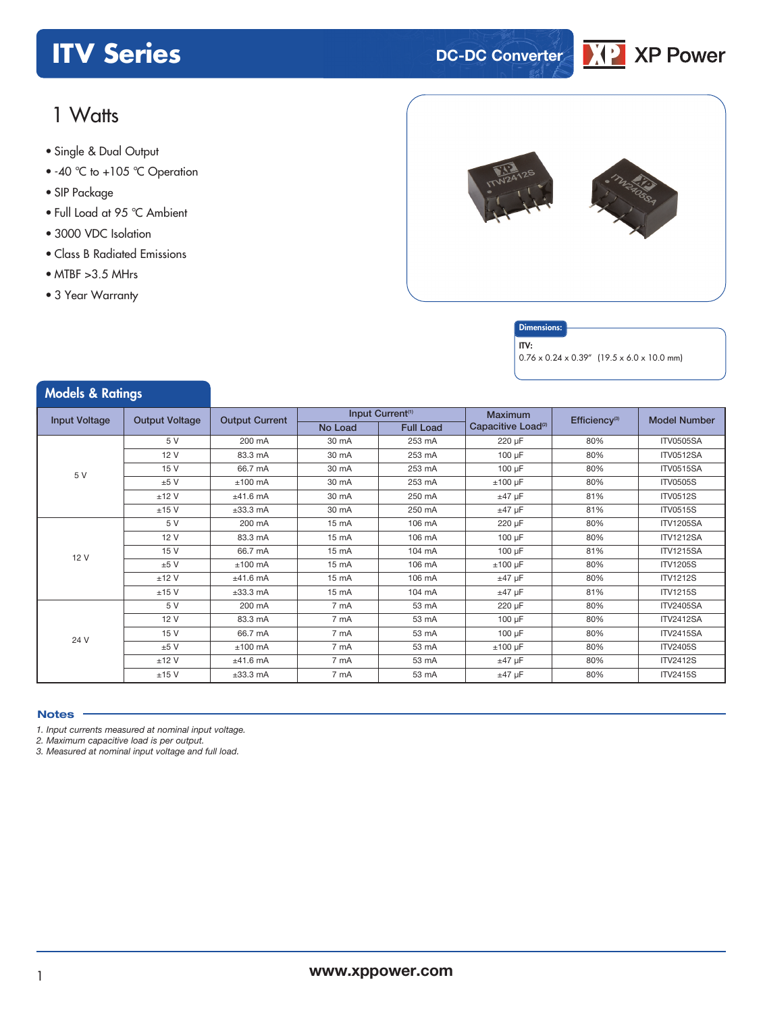## **ITV** Series **DC-DC** Converter

## 1 Watts

- **xxx Series** Single & Dual Output
- -40 °C to +105 °C Operation
- SIP Package
- Full Load at 95 °C Ambient
- 3000 VDC Isolation
- Class B Radiated Emissions
- MTBF >3.5 MHrs
- 3 Year Warranty



**M**  $\mathbf{D}$ 

### **Dimensions**

ITV:

0.76 x 0.24 x 0.39" (19.5 x 6.0 x 10.0 mm)

**XP Power** 

| <b>Models &amp; Ratings</b> |                       |                       |         |                              |                                |                           |                     |
|-----------------------------|-----------------------|-----------------------|---------|------------------------------|--------------------------------|---------------------------|---------------------|
| <b>Input Voltage</b>        | <b>Output Voltage</b> | <b>Output Current</b> |         | Input Current <sup>(1)</sup> | <b>Maximum</b>                 | Efficiency <sup>(3)</sup> | <b>Model Number</b> |
|                             |                       |                       | No Load | <b>Full Load</b>             | Capacitive Load <sup>(2)</sup> |                           |                     |
|                             | 5 V                   | 200 mA                | 30 mA   | 253 mA                       | 220 µF                         | 80%                       | <b>ITV0505SA</b>    |
|                             | 12 V                  | 83.3 mA               | 30 mA   | 253 mA                       | $100 \mu F$                    | 80%                       | <b>ITV0512SA</b>    |
| 5 V                         | 15 V                  | 66.7 mA               | 30 mA   | 253 mA                       | $100 \mu F$                    | 80%                       | <b>ITV0515SA</b>    |
|                             | ±5V                   | $±100$ mA             | 30 mA   | 253 mA                       | $±100 \mu F$                   | 80%                       | <b>ITV0505S</b>     |
|                             | $±12$ V               | $±41.6$ mA            | 30 mA   | 250 mA                       | $±47 \mu F$                    | 81%                       | <b>ITV0512S</b>     |
|                             | ±15V                  | $±33.3$ mA            | 30 mA   | 250 mA                       | $±47 \mu F$                    | 81%                       | <b>ITV0515S</b>     |
|                             | 5 V                   | 200 mA                | 15 mA   | 106 mA                       | 220 µF                         | 80%                       | <b>ITV1205SA</b>    |
|                             | 12 V                  | 83.3 mA               | 15 mA   | 106 mA                       | $100 \mu F$                    | 80%                       | <b>ITV1212SA</b>    |
| 12 V                        | 15 V                  | 66.7 mA               | 15 mA   | 104 mA                       | $100 \mu F$                    | 81%                       | <b>ITV1215SA</b>    |
|                             | ±5V                   | $±100$ mA             | 15 mA   | 106 mA                       | $±100 \mu F$                   | 80%                       | <b>ITV1205S</b>     |
|                             | $±12$ V               | $±41.6$ mA            | 15 mA   | 106 mA                       | $±47~\mu F$                    | 80%                       | <b>ITV1212S</b>     |
|                             | ±15V                  | $±33.3$ mA            | 15 mA   | 104 mA                       | $±47 \mu F$                    | 81%                       | <b>ITV1215S</b>     |
| 24 V                        | 5 V                   | 200 mA                | 7 mA    | 53 mA                        | 220 µF                         | 80%                       | <b>ITV2405SA</b>    |
|                             | 12V                   | 83.3 mA               | 7 mA    | 53 mA                        | $100 \mu F$                    | 80%                       | <b>ITV2412SA</b>    |
|                             | 15 V                  | 66.7 mA               | 7 mA    | 53 mA                        | $100 \mu F$                    | 80%                       | <b>ITV2415SA</b>    |
|                             | ±5V                   | $±100$ mA             | 7 mA    | 53 mA                        | $±100 \mu F$                   | 80%                       | <b>ITV2405S</b>     |
|                             | ±12V                  | $±41.6$ mA            | 7 mA    | 53 mA                        | $±47~\mu F$                    | 80%                       | <b>ITV2412S</b>     |
|                             | ±15V                  | $±33.3$ mA            | 7 mA    | 53 mA                        | $±47~\mu F$                    | 80%                       | <b>ITV2415S</b>     |

#### **Notes**

*1. Input currents measured at nominal input voltage.*

*2. Maximum capacitive load is per output.*

*3. Measured at nominal input voltage and full load.*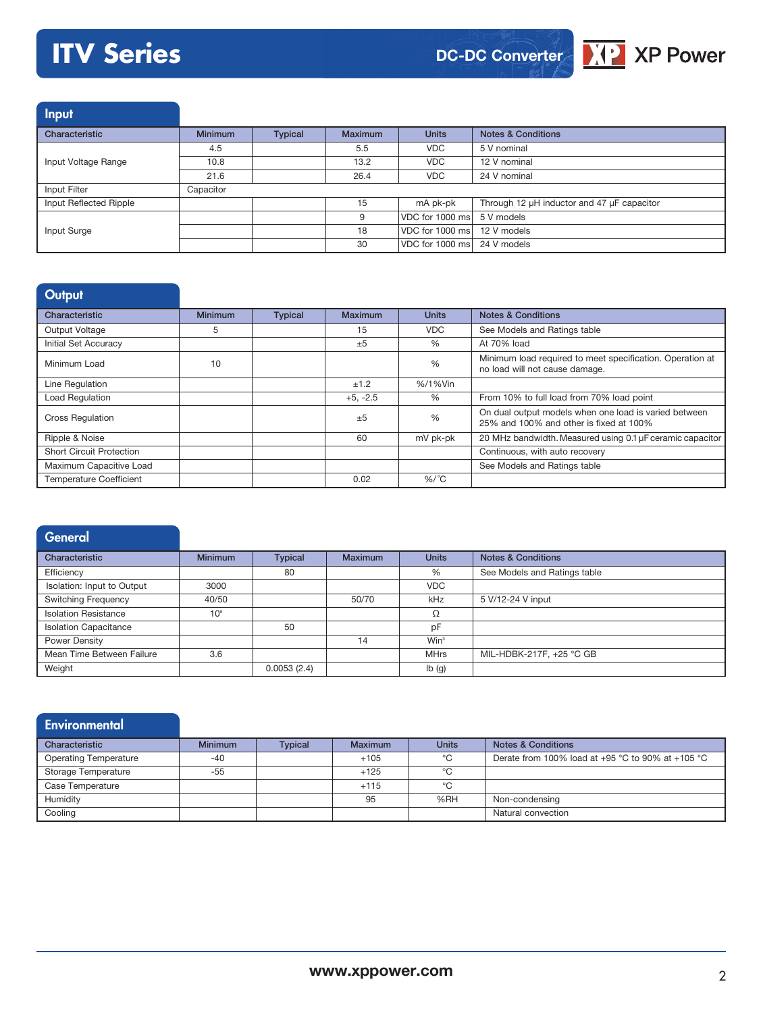# **ITV Series**





Input

| Characteristic         | <b>Minimum</b> | <b>Typical</b> | Maximum | <b>Units</b>                | <b>Notes &amp; Conditions</b>              |
|------------------------|----------------|----------------|---------|-----------------------------|--------------------------------------------|
|                        | 4.5            |                | 5.5     | <b>VDC</b>                  | 5 V nominal                                |
| Input Voltage Range    | 10.8           |                | 13.2    | <b>VDC</b>                  | 12 V nominal                               |
|                        | 21.6           |                | 26.4    | <b>VDC</b>                  | 24 V nominal                               |
| Input Filter           | Capacitor      |                |         |                             |                                            |
| Input Reflected Ripple |                |                | 15      | mA pk-pk                    | Through 12 µH inductor and 47 µF capacitor |
|                        |                |                | 9       | VDC for 1000 ms 5 V models  |                                            |
| Input Surge            |                |                | 18      | VDC for 1000 ms 12 V models |                                            |
|                        |                |                | 30      | VDC for 1000 ms 24 V models |                                            |

## **Output**

| Characteristic                  | <b>Minimum</b> | <b>Typical</b> | Maximum    | <b>Units</b>  | <b>Notes &amp; Conditions</b>                                                                    |
|---------------------------------|----------------|----------------|------------|---------------|--------------------------------------------------------------------------------------------------|
| Output Voltage                  | 5              |                | 15         | <b>VDC</b>    | See Models and Ratings table                                                                     |
| Initial Set Accuracy            |                |                | ±5         | $\%$          | At 70% load                                                                                      |
| Minimum Load                    | 10             |                |            | $\frac{0}{0}$ | Minimum load required to meet specification. Operation at<br>no load will not cause damage.      |
| Line Regulation                 |                |                | ±1.2       | %/1%Vin       |                                                                                                  |
| <b>Load Regulation</b>          |                |                | $+5, -2.5$ | $\%$          | From 10% to full load from 70% load point                                                        |
| <b>Cross Regulation</b>         |                |                | $+5$       | %             | On dual output models when one load is varied between<br>25% and 100% and other is fixed at 100% |
| Ripple & Noise                  |                |                | 60         | mV pk-pk      | 20 MHz bandwidth. Measured using 0.1 µF ceramic capacitor                                        |
| <b>Short Circuit Protection</b> |                |                |            |               | Continuous, with auto recovery                                                                   |
| Maximum Capacitive Load         |                |                |            |               | See Models and Ratings table                                                                     |
| <b>Temperature Coefficient</b>  |                |                | 0.02       | $%$ /°C       |                                                                                                  |

| <b>General</b>               |                 |                |                |              |                               |
|------------------------------|-----------------|----------------|----------------|--------------|-------------------------------|
| Characteristic               | <b>Minimum</b>  | <b>Typical</b> | <b>Maximum</b> | <b>Units</b> | <b>Notes &amp; Conditions</b> |
| Efficiency                   |                 | 80             |                | %            | See Models and Ratings table  |
| Isolation: Input to Output   | 3000            |                |                | <b>VDC</b>   |                               |
| <b>Switching Frequency</b>   | 40/50           |                | 50/70          | kHz          | 5 V/12-24 V input             |
| <b>Isolation Resistance</b>  | 10 <sup>9</sup> |                |                | Ω            |                               |
| <b>Isolation Capacitance</b> |                 | 50             |                | pF           |                               |
| Power Density                |                 |                | 14             | $Win^3$      |                               |
| Mean Time Between Failure    | 3.6             |                |                | <b>MHrs</b>  | MIL-HDBK-217F, +25 °C GB      |
| Weight                       |                 | 0.0053(2.4)    |                | Ib(g)        |                               |

| Environmental                |                |                |         |              |                                                   |
|------------------------------|----------------|----------------|---------|--------------|---------------------------------------------------|
| Characteristic               | <b>Minimum</b> | <b>Typical</b> | Maximum | <b>Units</b> | <b>Notes &amp; Conditions</b>                     |
| <b>Operating Temperature</b> | $-40$          |                | $+105$  | °C           | Derate from 100% load at +95 °C to 90% at +105 °C |
| Storage Temperature          | $-55$          |                | $+125$  | °C           |                                                   |
| Case Temperature             |                |                | $+115$  | °C           |                                                   |
| Humidity                     |                |                | 95      | %RH          | Non-condensing                                    |
| Cooling                      |                |                |         |              | Natural convection                                |